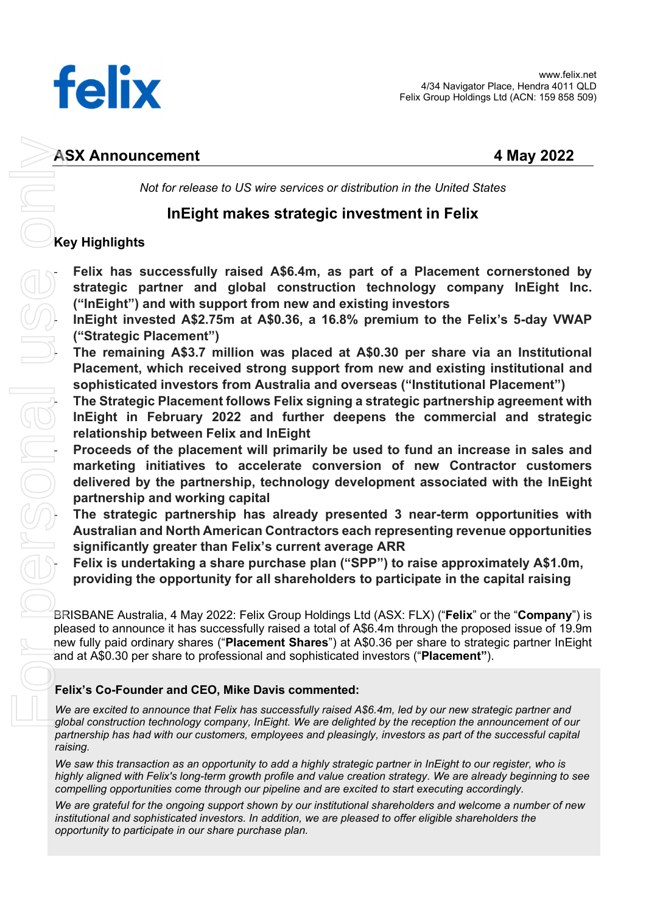

Not for release to US wire services or distribution in the United States

# InEight makes strategic investment in Felix

# Key Highlights

Felix has successfully raised A\$6.4m, as part of a Placement cornerstoned by strategic partner and global construction technology company InEight Inc. ("InEight") and with support from new and existing investors

InEight invested A\$2.75m at A\$0.36, a 16.8% premium to the Felix's 5-day VWAP ("Strategic Placement")

Placement, which received strong support from new and existing institutional and sophisticated investors from Australia and overseas ("Institutional Placement")

The Strategic Placement follows Felix signing a strategic partnership agreement with InEight in February 2022 and further deepens the commercial and strategic relationship between Felix and InEight

The remaining A\$3.7 million was placed at A\$0.30 per share via an Institutional<br>
Placement, which received strong support from new and existing institutional and<br>
sophisticated investors from Australia and overseas ("Insti Proceeds of the placement will primarily be used to fund an increase in sales and marketing initiatives to accelerate conversion of new Contractor customers delivered by the partnership, technology development associated with the InEight partnership and working capital

The strategic partnership has already presented 3 near-term opportunities with Australian and North American Contractors each representing revenue opportunities significantly greater than Felix's current average ARR

Felix is undertaking a share purchase plan ("SPP") to raise approximately A\$1.0m, providing the opportunity for all shareholders to participate in the capital raising

BRISBANE Australia, 4 May 2022: Felix Group Holdings Ltd (ASX: FLX) ("Felix" or the "Company") is pleased to announce it has successfully raised a total of A\$6.4m through the proposed issue of 19.9m new fully paid ordinary shares ("Placement Shares") at A\$0.36 per share to strategic partner InEight and at A\$0.30 per share to professional and sophisticated investors ("Placement").

## Felix's Co-Founder and CEO, Mike Davis commented:

We are excited to announce that Felix has successfully raised A\$6.4m, led by our new strategic partner and global construction technology company, InEight. We are delighted by the reception the announcement of our partnership has had with our customers, employees and pleasingly, investors as part of the successful capital raising.

We saw this transaction as an opportunity to add a highly strategic partner in InEight to our register, who is highly aligned with Felix's long-term growth profile and value creation strategy. We are already beginning to see compelling opportunities come through our pipeline and are excited to start executing accordingly.

We are grateful for the ongoing support shown by our institutional shareholders and welcome a number of new institutional and sophisticated investors. In addition, we are pleased to offer eligible shareholders the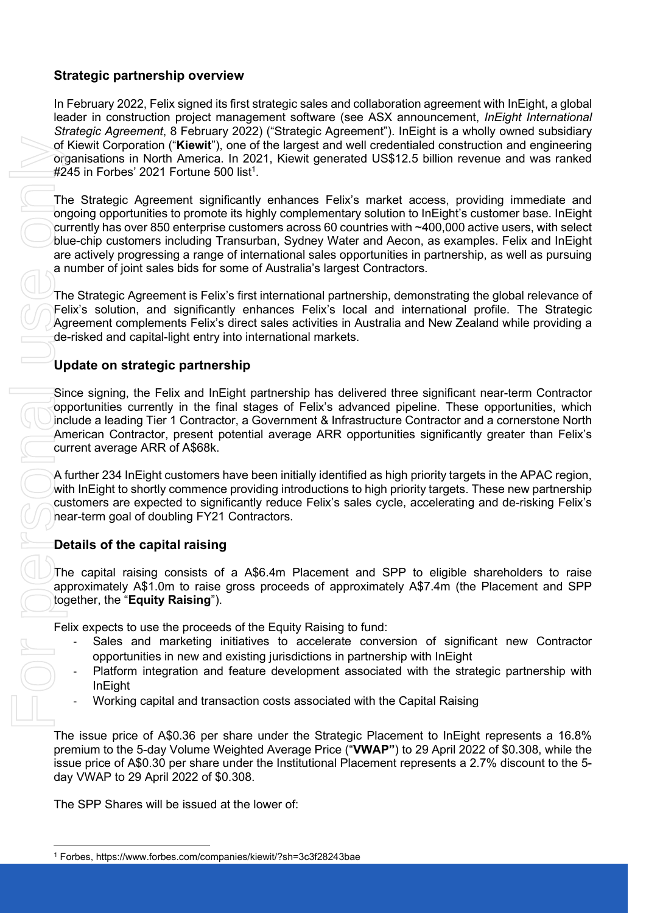## Strategic partnership overview

In February 2022, Felix signed its first strategic sales and collaboration agreement with InEight, a global leader in construction project management software (see ASX announcement, InEight International Strategic Agreement, 8 February 2022) ("Strategic Agreement"). InEight is a wholly owned subsidiary of Kiewit Corporation ("Kiewit"), one of the largest and well credentialed construction and engineering organisations in North America. In 2021, Kiewit generated US\$12.5 billion revenue and was ranked  $\#245$  in Forbes' 2021 Fortune 500 list<sup>1</sup>.

The Strategic Agreement significantly enhances Felix's market access, providing immediate and ongoing opportunities to promote its highly complementary solution to InEight's customer base. InEight currently has over 850 enterprise customers across 60 countries with ~400,000 active users, with select blue-chip customers including Transurban, Sydney Water and Aecon, as examples. Felix and InEight are actively progressing a range of international sales opportunities in partnership, as well as pursuing a number of joint sales bids for some of Australia's largest Contractors.

The Strategic Agreement is Felix's first international partnership, demonstrating the global relevance of Felix's solution, and significantly enhances Felix's local and international profile. The Strategic Agreement complements Felix's direct sales activities in Australia and New Zealand while providing a de-risked and capital-light entry into international markets.

## Update on strategic partnership

Since signing, the Felix and InEight partnership has delivered three significant near-term Contractor opportunities currently in the final stages of Felix's advanced pipeline. These opportunities, which include a leading Tier 1 Contractor, a Government & Infrastructure Contractor and a cornerstone North American Contractor, present potential average ARR opportunities significantly greater than Felix's current average ARR of A\$68k.

A further 234 InEight customers have been initially identified as high priority targets in the APAC region, with InEight to shortly commence providing introductions to high priority targets. These new partnership customers are expected to significantly reduce Felix's sales cycle, accelerating and de-risking Felix's near-term goal of doubling FY21 Contractors.

## Details of the capital raising

The capital raising consists of a A\$6.4m Placement and SPP to eligible shareholders to raise approximately A\$1.0m to raise gross proceeds of approximately A\$7.4m (the Placement and SPP together, the "Equity Raising").

Felix expects to use the proceeds of the Equity Raising to fund:

- Sales and marketing initiatives to accelerate conversion of significant new Contractor opportunities in new and existing jurisdictions in partnership with InEight
- Platform integration and feature development associated with the strategic partnership with InEight
- Working capital and transaction costs associated with the Capital Raising

The issue price of A\$0.36 per share under the Strategic Placement to InEight represents a 16.8% premium to the 5-day Volume Weighted Average Price ("VWAP") to 29 April 2022 of \$0.308, while the issue price of A\$0.30 per share under the Institutional Placement represents a 2.7% discount to the 5 day VWAP to 29 April 2022 of \$0.308.

The SPP Shares will be issued at the lower of:

<sup>&</sup>lt;sup>1</sup> Forbes, https://www.forbes.com/companies/kiewit/?sh=3c3f28243bae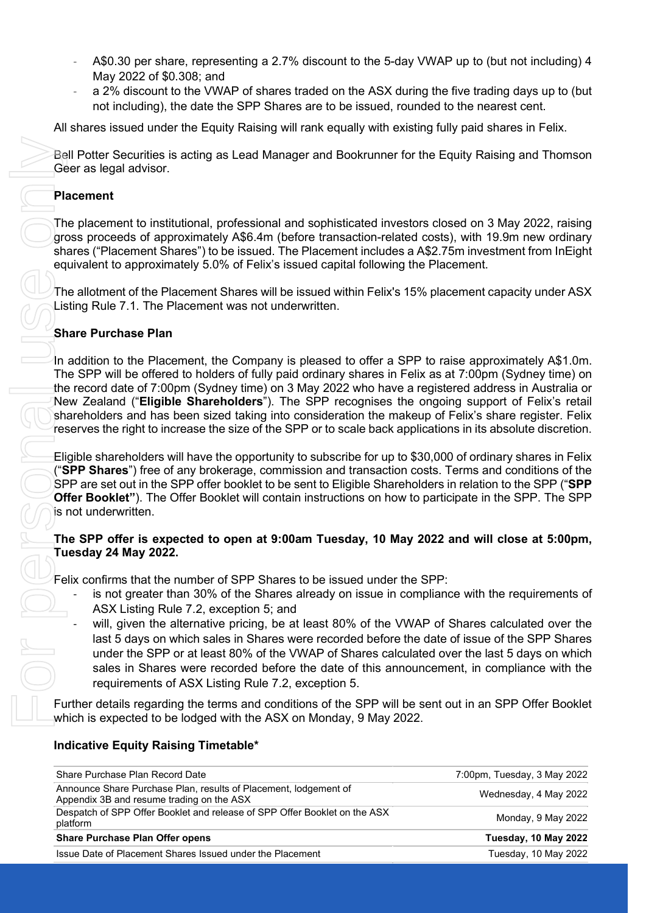- A\$0.30 per share, representing a 2.7% discount to the 5-day VWAP up to (but not including) 4 May 2022 of \$0.308; and
- a 2% discount to the VWAP of shares traded on the ASX during the five trading days up to (but not including), the date the SPP Shares are to be issued, rounded to the nearest cent.

All shares issued under the Equity Raising will rank equally with existing fully paid shares in Felix.

#### **Placement**

## Share Purchase Plan

#### The SPP offer is expected to open at 9:00am Tuesday, 10 May 2022 and will close at 5:00pm, Tuesday 24 May 2022.

- is not greater than 30% of the Shares already on issue in compliance with the requirements of ASX Listing Rule 7.2, exception 5; and
- will, given the alternative pricing, be at least 80% of the VWAP of Shares calculated over the last 5 days on which sales in Shares were recorded before the date of issue of the SPP Shares under the SPP or at least 80% of the VWAP of Shares calculated over the last 5 days on which sales in Shares were recorded before the date of this announcement, in compliance with the requirements of ASX Listing Rule 7.2, exception 5.

### Indicative Equity Raising Timetable\*

| Bell Potter Securities is acting as Lead Manager and Bookrunner for the Equity Raising and Thomsor<br>Geer as legal advisor.                                                                                                                                                                                                                                                                                                                                                                                                                                                                                                                      |                             |
|---------------------------------------------------------------------------------------------------------------------------------------------------------------------------------------------------------------------------------------------------------------------------------------------------------------------------------------------------------------------------------------------------------------------------------------------------------------------------------------------------------------------------------------------------------------------------------------------------------------------------------------------------|-----------------------------|
| <b>Placement</b>                                                                                                                                                                                                                                                                                                                                                                                                                                                                                                                                                                                                                                  |                             |
| The placement to institutional, professional and sophisticated investors closed on 3 May 2022, raising<br>gross proceeds of approximately A\$6.4m (before transaction-related costs), with 19.9m new ordinary<br>shares ("Placement Shares") to be issued. The Placement includes a A\$2.75m investment from InEight<br>equivalent to approximately 5.0% of Felix's issued capital following the Placement.                                                                                                                                                                                                                                       |                             |
| The allotment of the Placement Shares will be issued within Felix's 15% placement capacity under ASX<br>Listing Rule 7.1. The Placement was not underwritten.                                                                                                                                                                                                                                                                                                                                                                                                                                                                                     |                             |
| <b>Share Purchase Plan</b>                                                                                                                                                                                                                                                                                                                                                                                                                                                                                                                                                                                                                        |                             |
| In addition to the Placement, the Company is pleased to offer a SPP to raise approximately A\$1.0m.<br>The SPP will be offered to holders of fully paid ordinary shares in Felix as at 7:00pm (Sydney time) on<br>the record date of 7:00pm (Sydney time) on 3 May 2022 who have a registered address in Australia or<br>New Zealand ("Eligible Shareholders"). The SPP recognises the ongoing support of Felix's retain<br>shareholders and has been sized taking into consideration the makeup of Felix's share register. Felix<br>reserves the right to increase the size of the SPP or to scale back applications in its absolute discretion. |                             |
| Eligible shareholders will have the opportunity to subscribe for up to \$30,000 of ordinary shares in Felix<br>(" <b>SPP Shares</b> ") free of any brokerage, commission and transaction costs. Terms and conditions of the<br>SPP are set out in the SPP offer booklet to be sent to Eligible Shareholders in relation to the SPP ("SPP<br>Offer Booklet"). The Offer Booklet will contain instructions on how to participate in the SPP. The SPP<br>is not underwritten.                                                                                                                                                                        |                             |
| The SPP offer is expected to open at 9:00am Tuesday, 10 May 2022 and will close at 5:00pm,<br>Tuesday 24 May 2022.                                                                                                                                                                                                                                                                                                                                                                                                                                                                                                                                |                             |
| Felix confirms that the number of SPP Shares to be issued under the SPP:                                                                                                                                                                                                                                                                                                                                                                                                                                                                                                                                                                          |                             |
| is not greater than 30% of the Shares already on issue in compliance with the requirements of<br>ASX Listing Rule 7.2, exception 5; and                                                                                                                                                                                                                                                                                                                                                                                                                                                                                                           |                             |
| will, given the alternative pricing, be at least 80% of the VWAP of Shares calculated over the<br>last 5 days on which sales in Shares were recorded before the date of issue of the SPP Shares<br>under the SPP or at least 80% of the VWAP of Shares calculated over the last 5 days on which<br>sales in Shares were recorded before the date of this announcement, in compliance with the<br>requirements of ASX Listing Rule 7.2, exception 5.                                                                                                                                                                                               |                             |
| Further details regarding the terms and conditions of the SPP will be sent out in an SPP Offer Booklet<br>which is expected to be lodged with the ASX on Monday, 9 May 2022.                                                                                                                                                                                                                                                                                                                                                                                                                                                                      |                             |
| <b>Indicative Equity Raising Timetable*</b>                                                                                                                                                                                                                                                                                                                                                                                                                                                                                                                                                                                                       |                             |
| Share Purchase Plan Record Date                                                                                                                                                                                                                                                                                                                                                                                                                                                                                                                                                                                                                   | 7:00pm, Tuesday, 3 May 2022 |
| Announce Share Purchase Plan, results of Placement, lodgement of<br>Appendix 3B and resume trading on the ASX                                                                                                                                                                                                                                                                                                                                                                                                                                                                                                                                     | Wednesday, 4 May 2022       |
| Despatch of SPP Offer Booklet and release of SPP Offer Booklet on the ASX<br>platform                                                                                                                                                                                                                                                                                                                                                                                                                                                                                                                                                             | Monday, 9 May 2022          |
| <b>Share Purchase Plan Offer opens</b>                                                                                                                                                                                                                                                                                                                                                                                                                                                                                                                                                                                                            | Tuesday, 10 May 2022        |
| Issue Date of Placement Shares Issued under the Placement                                                                                                                                                                                                                                                                                                                                                                                                                                                                                                                                                                                         | Tuesday, 10 May 2022        |